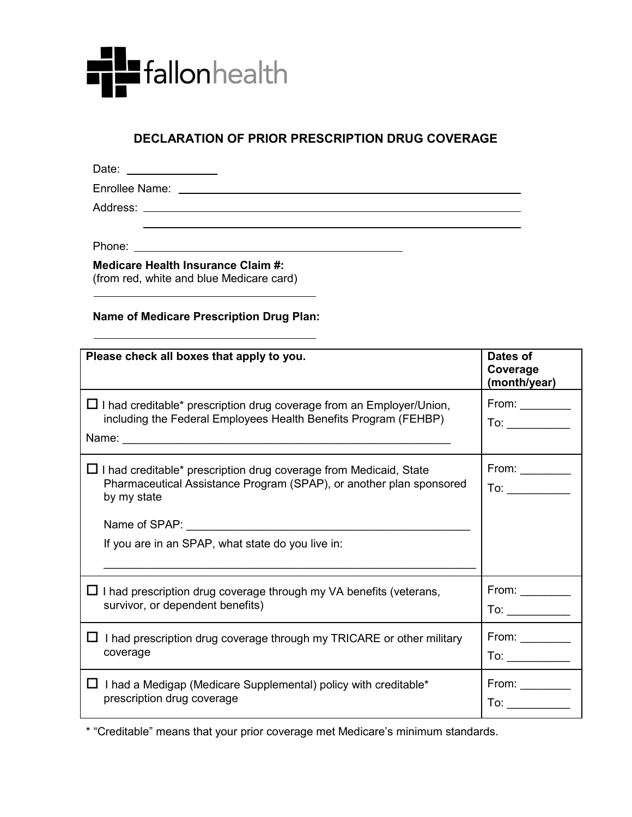

## **DECLARATION OF PRIOR PRESCRIPTION DRUG COVERAGE**

Date: \_\_\_\_\_\_\_\_\_\_\_\_\_\_\_\_\_ Enrollee Name:

Address:

Phone:

**Medicare Health Insurance Claim #:**  (from red, white and blue Medicare card)

## **Name of Medicare Prescription Drug Plan:**

| Please check all boxes that apply to you.                                                                                                                                                                           | Dates of<br>Coverage<br>(month/year)                                                                                           |
|---------------------------------------------------------------------------------------------------------------------------------------------------------------------------------------------------------------------|--------------------------------------------------------------------------------------------------------------------------------|
| $\Box$ I had creditable* prescription drug coverage from an Employer/Union,<br>including the Federal Employees Health Benefits Program (FEHBP)                                                                      | From: $\_\_$<br>To: $\qquad \qquad \qquad$                                                                                     |
| $\Box$ I had creditable* prescription drug coverage from Medicaid, State<br>Pharmaceutical Assistance Program (SPAP), or another plan sponsored<br>by my state<br>If you are in an SPAP, what state do you live in: | From: $\_\_$<br>To: and the state of the state of the state of the state of the state of the state of the state of the state o |
| $\Box$ I had prescription drug coverage through my VA benefits (veterans,                                                                                                                                           | From: $\_\_$                                                                                                                   |
| survivor, or dependent benefits)                                                                                                                                                                                    | $To: \underline{\hspace{2.5cm}}$                                                                                               |
| I had prescription drug coverage through my TRICARE or other military                                                                                                                                               | From: $\_\_$                                                                                                                   |
| coverage                                                                                                                                                                                                            |                                                                                                                                |
| $\Box$ I had a Medigap (Medicare Supplemental) policy with creditable*                                                                                                                                              | From: $\_\_$                                                                                                                   |
| prescription drug coverage                                                                                                                                                                                          | To: $\qquad \qquad$                                                                                                            |

\* "Creditable" means that your prior coverage met Medicare's minimum standards.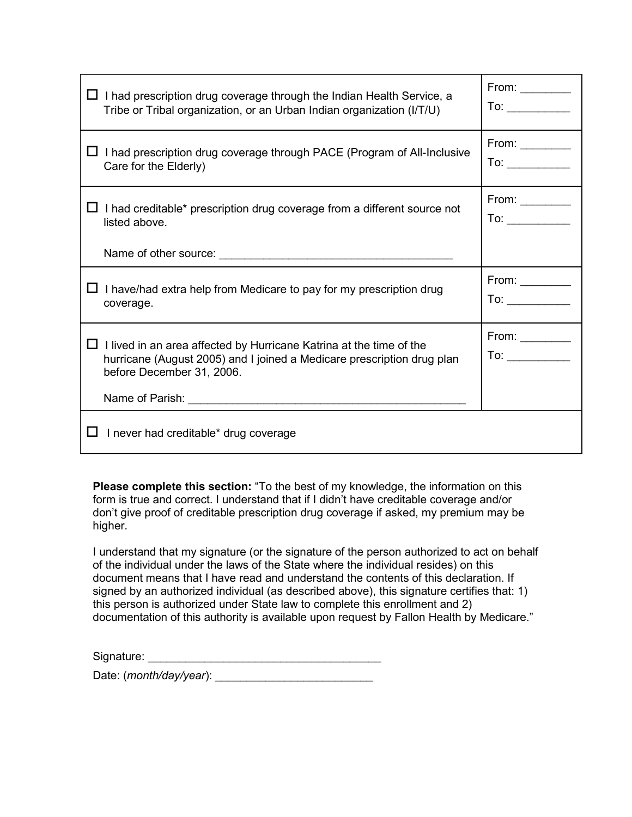| $\Box$ I had prescription drug coverage through the Indian Health Service, a                                                                                                      | From: $\_\_$                                                                       |
|-----------------------------------------------------------------------------------------------------------------------------------------------------------------------------------|------------------------------------------------------------------------------------|
| Tribe or Tribal organization, or an Urban Indian organization (I/T/U)                                                                                                             | To: $\frac{1}{\sqrt{1-\frac{1}{2}}\sqrt{1-\frac{1}{2}}\left(1-\frac{1}{2}\right)}$ |
| $\Box$ I had prescription drug coverage through PACE (Program of All-Inclusive                                                                                                    | From: $\_\_$                                                                       |
| Care for the Elderly)                                                                                                                                                             | To: $\qquad \qquad$                                                                |
| $\Box$ I had creditable* prescription drug coverage from a different source not                                                                                                   | From: $\_\_$                                                                       |
| listed above.                                                                                                                                                                     | To: $\qquad \qquad$                                                                |
|                                                                                                                                                                                   |                                                                                    |
| $\Box$ I have/had extra help from Medicare to pay for my prescription drug                                                                                                        | From: $\_\_$                                                                       |
| coverage.                                                                                                                                                                         | To: $\qquad \qquad$                                                                |
| $\Box$ I lived in an area affected by Hurricane Katrina at the time of the<br>hurricane (August 2005) and I joined a Medicare prescription drug plan<br>before December 31, 2006. | From: $\_\_$<br>To: $\qquad \qquad$                                                |
| Name of Parish: <u>Alexander Account of Parish:</u>                                                                                                                               |                                                                                    |
| I never had creditable* drug coverage<br>ப                                                                                                                                        |                                                                                    |

**Please complete this section:** "To the best of my knowledge, the information on this form is true and correct. I understand that if I didn't have creditable coverage and/or don't give proof of creditable prescription drug coverage if asked, my premium may be higher.

I understand that my signature (or the signature of the person authorized to act on behalf of the individual under the laws of the State where the individual resides) on this document means that I have read and understand the contents of this declaration. If signed by an authorized individual (as described above), this signature certifies that: 1) this person is authorized under State law to complete this enrollment and 2) documentation of this authority is available upon request by Fallon Health by Medicare."

Signature: \_\_\_\_\_\_\_\_\_\_\_\_\_\_\_\_\_\_\_\_\_\_\_\_\_\_\_\_\_\_\_\_\_\_\_\_\_

Date: (*month/day/year*):